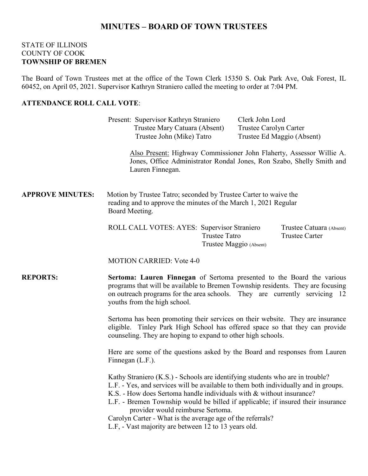## **MINUTES – BOARD OF TOWN TRUSTEES**

#### STATE OF ILLINOIS COUNTY OF COOK **TOWNSHIP OF BREMEN**

The Board of Town Trustees met at the office of the Town Clerk 15350 S. Oak Park Ave, Oak Forest, IL 60452, on April 05, 2021. Supervisor Kathryn Straniero called the meeting to order at 7:04 PM.

### **ATTENDANCE ROLL CALL VOTE**:

|                         | Present: Supervisor Kathryn Straniero<br>Trustee Mary Catuara (Absent)<br>Trustee John (Mike) Tatro                                                                                                                                                                                                                                                                                                                                                                                         | Clerk John Lord<br>Trustee Carolyn Carter<br>Trustee Ed Maggio (Absent)<br>Also Present: Highway Commissioner John Flaherty, Assessor Willie A. |  |
|-------------------------|---------------------------------------------------------------------------------------------------------------------------------------------------------------------------------------------------------------------------------------------------------------------------------------------------------------------------------------------------------------------------------------------------------------------------------------------------------------------------------------------|-------------------------------------------------------------------------------------------------------------------------------------------------|--|
|                         | Lauren Finnegan.                                                                                                                                                                                                                                                                                                                                                                                                                                                                            | Jones, Office Administrator Rondal Jones, Ron Szabo, Shelly Smith and                                                                           |  |
| <b>APPROVE MINUTES:</b> | Motion by Trustee Tatro; seconded by Trustee Carter to waive the<br>reading and to approve the minutes of the March 1, 2021 Regular<br>Board Meeting.                                                                                                                                                                                                                                                                                                                                       |                                                                                                                                                 |  |
|                         | ROLL CALL VOTES: AYES: Supervisor Straniero<br><b>Trustee Tatro</b>                                                                                                                                                                                                                                                                                                                                                                                                                         | Trustee Catuara (Absent)<br><b>Trustee Carter</b><br>Trustee Maggio (Absent)                                                                    |  |
|                         | <b>MOTION CARRIED: Vote 4-0</b>                                                                                                                                                                                                                                                                                                                                                                                                                                                             |                                                                                                                                                 |  |
| <b>REPORTS:</b>         | Sertoma: Lauren Finnegan of Sertoma presented to the Board the various<br>programs that will be available to Bremen Township residents. They are focusing<br>on outreach programs for the area schools. They are currently servicing 12<br>youths from the high school.                                                                                                                                                                                                                     |                                                                                                                                                 |  |
|                         | Sertoma has been promoting their services on their website. They are insurance<br>eligible. Tinley Park High School has offered space so that they can provide<br>counseling. They are hoping to expand to other high schools.<br>Here are some of the questions asked by the Board and responses from Lauren<br>Finnegan (L.F.).                                                                                                                                                           |                                                                                                                                                 |  |
|                         |                                                                                                                                                                                                                                                                                                                                                                                                                                                                                             |                                                                                                                                                 |  |
|                         | Kathy Straniero (K.S.) - Schools are identifying students who are in trouble?<br>L.F. - Yes, and services will be available to them both individually and in groups.<br>K.S. - How does Sertoma handle individuals with & without insurance?<br>L.F. - Bremen Township would be billed if applicable; if insured their insurance<br>provider would reimburse Sertoma.<br>Carolyn Carter - What is the average age of the referrals?<br>L.F, - Vast majority are between 12 to 13 years old. |                                                                                                                                                 |  |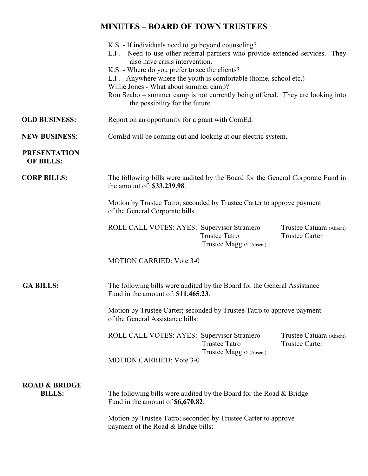# **MINUTES – BOARD OF TOWN TRUSTEES**

|                                                                                                                  | K.S. - If individuals need to go beyond counseling?                                                              |                                                 |                                                   |  |
|------------------------------------------------------------------------------------------------------------------|------------------------------------------------------------------------------------------------------------------|-------------------------------------------------|---------------------------------------------------|--|
| L.F. - Need to use other referral partners who provide extended services. They<br>also have crisis intervention. |                                                                                                                  |                                                 |                                                   |  |
|                                                                                                                  |                                                                                                                  | K.S. - Where do you prefer to see the clients?  |                                                   |  |
| L.F. - Anywhere where the youth is comfortable (home, school etc.)<br>Willie Jones - What about summer camp?     |                                                                                                                  |                                                 |                                                   |  |
|                                                                                                                  |                                                                                                                  |                                                 |                                                   |  |
|                                                                                                                  | Ron Szabo - summer camp is not currently being offered. They are looking into<br>the possibility for the future. |                                                 |                                                   |  |
| <b>OLD BUSINESS:</b>                                                                                             | Report on an opportunity for a grant with ComEd.                                                                 |                                                 |                                                   |  |
| <b>NEW BUSINESS:</b>                                                                                             | ComEd will be coming out and looking at our electric system.                                                     |                                                 |                                                   |  |
| <b>PRESENTATION</b><br><b>OF BILLS:</b>                                                                          |                                                                                                                  |                                                 |                                                   |  |
| <b>CORP BILLS:</b>                                                                                               | The following bills were audited by the Board for the General Corporate Fund in<br>the amount of: \$33,239.98.   |                                                 |                                                   |  |
|                                                                                                                  | Motion by Trustee Tatro; seconded by Trustee Carter to approve payment<br>of the General Corporate bills.        |                                                 |                                                   |  |
|                                                                                                                  | ROLL CALL VOTES: AYES: Supervisor Straniero                                                                      | <b>Trustee Tatro</b><br>Trustee Maggio (Absent) | Trustee Catuara (Absent)<br><b>Trustee Carter</b> |  |
|                                                                                                                  | <b>MOTION CARRIED: Vote 3-0</b>                                                                                  |                                                 |                                                   |  |
| <b>GA BILLS:</b>                                                                                                 | The following bills were audited by the Board for the General Assistance<br>Fund in the amount of: \$11,465.23.  |                                                 |                                                   |  |
|                                                                                                                  | Motion by Trustee Carter; seconded by Trustee Tatro to approve payment<br>of the General Assistance bills:       |                                                 |                                                   |  |
|                                                                                                                  | ROLL CALL VOTES: AYES: Supervisor Straniero                                                                      | <b>Trustee Tatro</b>                            | Trustee Catuara (Absent)<br><b>Trustee Carter</b> |  |
|                                                                                                                  | <b>MOTION CARRIED: Vote 3-0</b>                                                                                  | Trustee Maggio (Absent)                         |                                                   |  |
| <b>ROAD &amp; BRIDGE</b>                                                                                         |                                                                                                                  |                                                 |                                                   |  |
| <b>BILLS:</b>                                                                                                    | The following bills were audited by the Board for the Road & Bridge<br>Fund in the amount of \$6,670.82.         |                                                 |                                                   |  |
|                                                                                                                  | Motion by Trustee Tatro; seconded by Trustee Carter to approve                                                   |                                                 |                                                   |  |